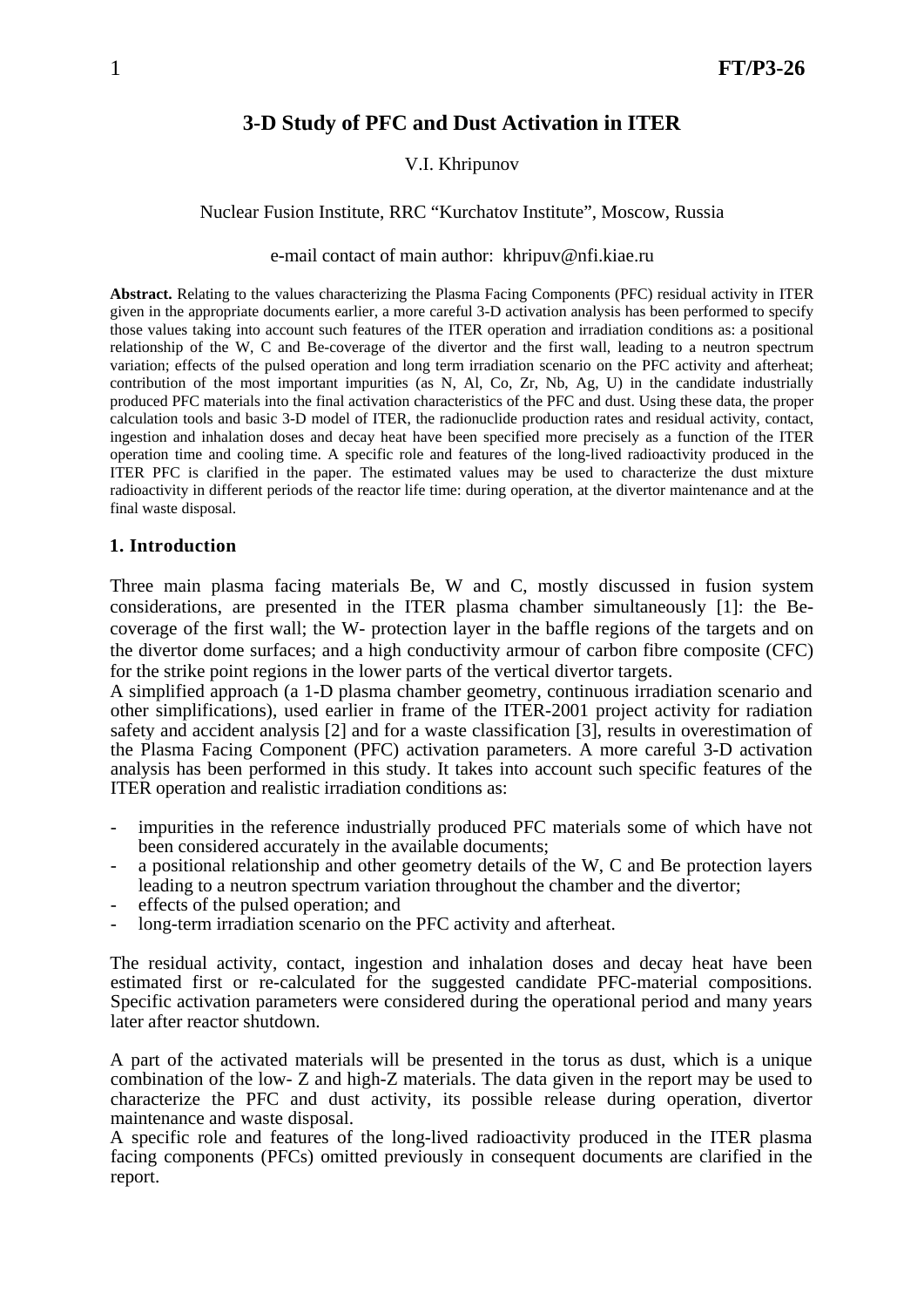# **3-D Study of PFC and Dust Activation in ITER**

#### V.I. Khripunov

#### Nuclear Fusion Institute, RRC "Kurchatov Institute", Moscow, Russia

#### e-mail contact of main author: khripuv@nfi.kiae.ru

**Abstract.** Relating to the values characterizing the Plasma Facing Components (PFC) residual activity in ITER given in the appropriate documents earlier, a more careful 3-D activation analysis has been performed to specify those values taking into account such features of the ITER operation and irradiation conditions as: a positional relationship of the W, C and Be-coverage of the divertor and the first wall, leading to a neutron spectrum variation; effects of the pulsed operation and long term irradiation scenario on the PFC activity and afterheat; contribution of the most important impurities (as N, Al, Co, Zr, Nb, Ag, U) in the candidate industrially produced PFC materials into the final activation characteristics of the PFC and dust. Using these data, the proper calculation tools and basic 3-D model of ITER, the radionuclide production rates and residual activity, contact, ingestion and inhalation doses and decay heat have been specified more precisely as a function of the ITER operation time and cooling time. A specific role and features of the long-lived radioactivity produced in the ITER PFC is clarified in the paper. The estimated values may be used to characterize the dust mixture radioactivity in different periods of the reactor life time: during operation, at the divertor maintenance and at the final waste disposal.

#### **1. Introduction**

Three main plasma facing materials Be, W and C, mostly discussed in fusion system considerations, are presented in the ITER plasma chamber simultaneously [1]: the Becoverage of the first wall; the W- protection layer in the baffle regions of the targets and on the divertor dome surfaces; and a high conductivity armour of carbon fibre composite (CFC) for the strike point regions in the lower parts of the vertical divertor targets.

A simplified approach (a 1-D plasma chamber geometry, continuous irradiation scenario and other simplifications), used earlier in frame of the ITER-2001 project activity for radiation safety and accident analysis [2] and for a waste classification [3], results in overestimation of the Plasma Facing Component (PFC) activation parameters. A more careful 3-D activation analysis has been performed in this study. It takes into account such specific features of the ITER operation and realistic irradiation conditions as:

- impurities in the reference industrially produced PFC materials some of which have not been considered accurately in the available documents;
- a positional relationship and other geometry details of the W, C and Be protection layers leading to a neutron spectrum variation throughout the chamber and the divertor;
- effects of the pulsed operation; and
- long-term irradiation scenario on the PFC activity and afterheat.

The residual activity, contact, ingestion and inhalation doses and decay heat have been estimated first or re-calculated for the suggested candidate PFC-material compositions. Specific activation parameters were considered during the operational period and many years later after reactor shutdown.

A part of the activated materials will be presented in the torus as dust, which is a unique combination of the low- Z and high-Z materials. The data given in the report may be used to characterize the PFC and dust activity, its possible release during operation, divertor maintenance and waste disposal.

A specific role and features of the long-lived radioactivity produced in the ITER plasma facing components (PFCs) omitted previously in consequent documents are clarified in the report.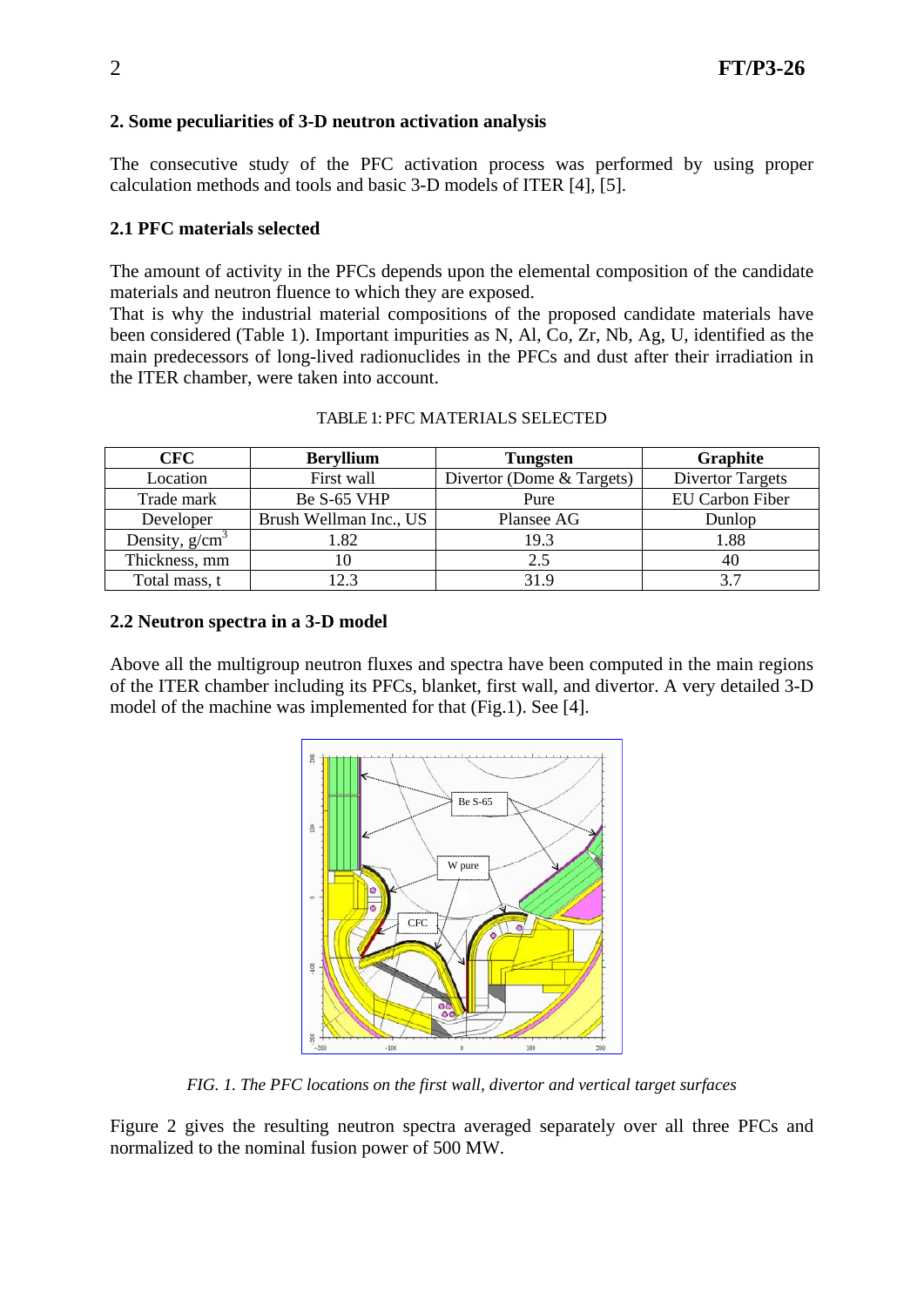# **2. Some peculiarities of 3-D neutron activation analysis**

The consecutive study of the PFC activation process was performed by using proper calculation methods and tools and basic 3-D models of ITER [4], [5].

# **2.1 PFC materials selected**

The amount of activity in the PFCs depends upon the elemental composition of the candidate materials and neutron fluence to which they are exposed.

That is why the industrial material compositions of the proposed candidate materials have been considered (Table 1). Important impurities as N, Al, Co, Zr, Nb, Ag, U, identified as the main predecessors of long-lived radionuclides in the PFCs and dust after their irradiation in the ITER chamber, were taken into account.

| <b>CFC</b>       | <b>Beryllium</b>       | <b>Tungsten</b>           | Graphite                |  |
|------------------|------------------------|---------------------------|-------------------------|--|
| Location         | First wall             | Divertor (Dome & Targets) | <b>Divertor Targets</b> |  |
| Trade mark       | Be S-65 VHP            | Pure                      | <b>EU Carbon Fiber</b>  |  |
| Developer        | Brush Wellman Inc., US | Plansee AG                | Dunlop                  |  |
| Density, $g/cm3$ | 1.82                   | 19.3                      | 1.88                    |  |
| Thickness, mm    |                        | 2.5                       | 40                      |  |
| Total mass, t    | 12.3                   | 31.9                      | 37                      |  |

| TABLE 1: PFC MATERIALS SELECTED |  |
|---------------------------------|--|
|---------------------------------|--|

## **2.2 Neutron spectra in a 3-D model**

Above all the multigroup neutron fluxes and spectra have been computed in the main regions of the ITER chamber including its PFCs, blanket, first wall, and divertor. A very detailed 3-D model of the machine was implemented for that (Fig.1). See [4].



*FIG. 1. The PFC locations on the first wall, divertor and vertical target surfaces* 

Figure 2 gives the resulting neutron spectra averaged separately over all three PFCs and normalized to the nominal fusion power of 500 MW.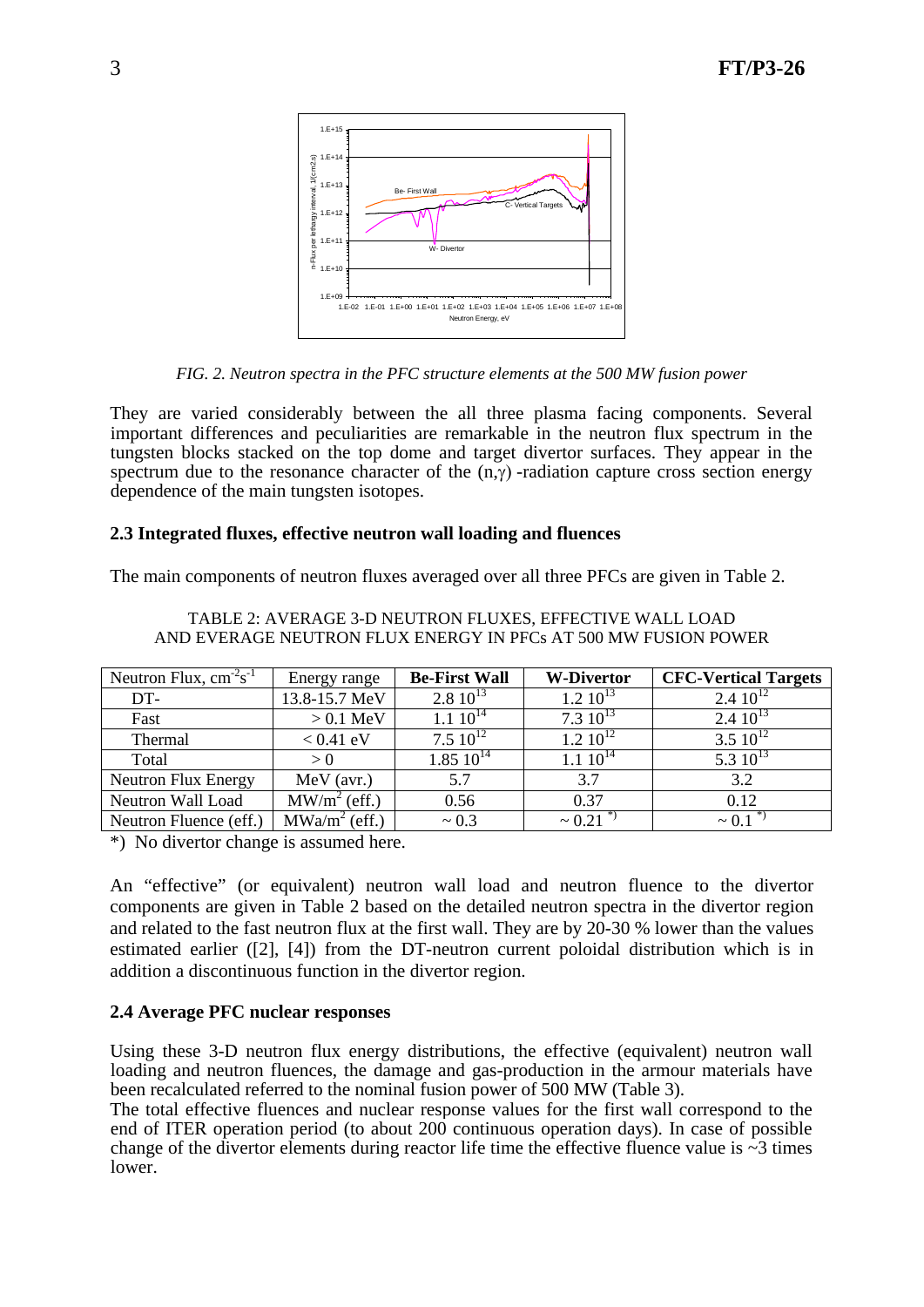

*FIG. 2. Neutron spectra in the PFC structure elements at the 500 MW fusion power* 

They are varied considerably between the all three plasma facing components. Several important differences and peculiarities are remarkable in the neutron flux spectrum in the tungsten blocks stacked on the top dome and target divertor surfaces. They appear in the spectrum due to the resonance character of the  $(n, \gamma)$ -radiation capture cross section energy dependence of the main tungsten isotopes.

## **2.3 Integrated fluxes, effective neutron wall loading and fluences**

The main components of neutron fluxes averaged over all three PFCs are given in Table 2.

| Neutron Flux, $cm-2s-1$ | Energy range    | <b>Be-First Wall</b> | <b>W-Divertor</b> | <b>CFC-Vertical Targets</b> |
|-------------------------|-----------------|----------------------|-------------------|-----------------------------|
| DT-                     | 13.8-15.7 MeV   | $2.8\ 10^{13}$       | $1.2 10^{13}$     | $2.410^{12}$                |
| Fast                    | $> 0.1$ MeV     | $1.1 \ 10^{14}$      | $7.310^{13}$      | $2.410^{13}$                |
| Thermal                 | $< 0.41$ eV     | $7.510^{12}$         | $1.2 10^{12}$     | $3.5 \; 10^{12}$            |
| Total                   | > 0             | $1.85\ 10^{14}$      | $1.1 \ 10^{14}$   | 5.3 $10^{13}$               |
| Neutron Flux Energy     | $MeV$ (avr.)    | 5.7                  | 3.7               | 3.2                         |
| Neutron Wall Load       | $MW/m2$ (eff.)  | 0.56                 | 0.37              | 0.12                        |
| Neutron Fluence (eff.)  | $MWa/m2$ (eff.) | $\sim 0.3$           | $~1$ 0.21         | $\sim 0.1$                  |

#### TABLE 2: AVERAGE 3-D NEUTRON FLUXES, EFFECTIVE WALL LOAD AND EVERAGE NEUTRON FLUX ENERGY IN PFCs AT 500 MW FUSION POWER

\*) No divertor change is assumed here.

An "effective" (or equivalent) neutron wall load and neutron fluence to the divertor components are given in Table 2 based on the detailed neutron spectra in the divertor region and related to the fast neutron flux at the first wall. They are by 20-30 % lower than the values estimated earlier ([2], [4]) from the DT-neutron current poloidal distribution which is in addition a discontinuous function in the divertor region.

### **2.4 Average PFC nuclear responses**

Using these 3-D neutron flux energy distributions, the effective (equivalent) neutron wall loading and neutron fluences, the damage and gas-production in the armour materials have been recalculated referred to the nominal fusion power of 500 MW (Table 3).

The total effective fluences and nuclear response values for the first wall correspond to the end of ITER operation period (to about 200 continuous operation days). In case of possible change of the divertor elements during reactor life time the effective fluence value is  $\sim$ 3 times lower.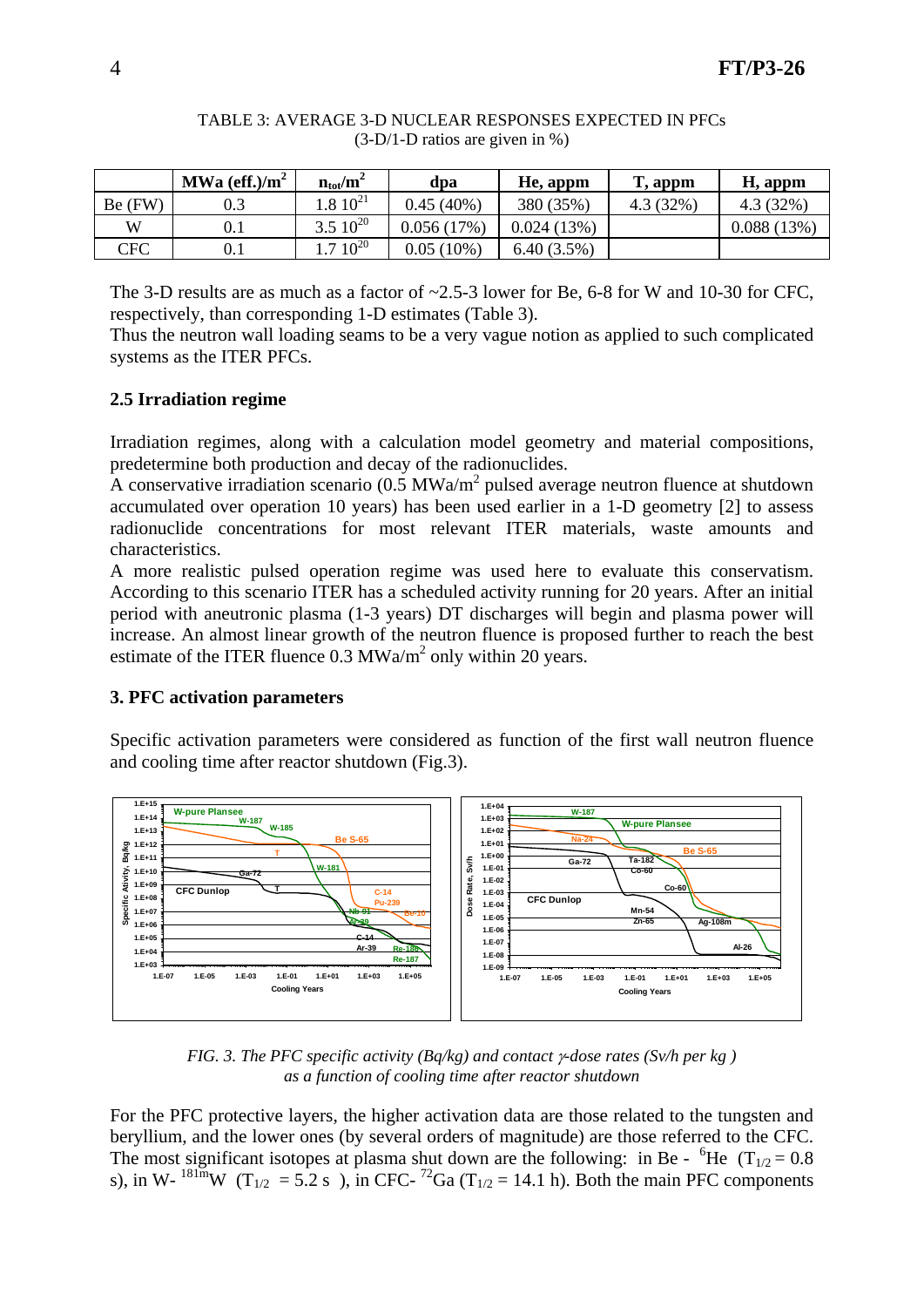|                | MWa (eff.)/ $m^2$ | $n_{\rm tot}/m^2$ | dpa          | He, appm   | T, appm  | H, appm    |
|----------------|-------------------|-------------------|--------------|------------|----------|------------|
| $Be$ (FW)      | 0.3               | $1.8 \; 10^{21}$  | $0.45(40\%)$ | 380 (35%)  | 4.3(32%) | 4.3(32%)   |
| W              | $\rm 0.1$         | $3.510^{20}$      | 0.056(17%)   | 0.024(13%) |          | 0.088(13%) |
| $\mathrm{CFC}$ | $0.1\,$           | $.710^{20}$       | $0.05(10\%)$ | 6.40(3.5%) |          |            |

### TABLE 3: AVERAGE 3-D NUCLEAR RESPONSES EXPECTED IN PFCs (3-D/1-D ratios are given in %)

The 3-D results are as much as a factor of  $\approx$  2.5-3 lower for Be, 6-8 for W and 10-30 for CFC. respectively, than corresponding 1-D estimates (Table 3).

Thus the neutron wall loading seams to be a very vague notion as applied to such complicated systems as the ITER PFCs.

# **2.5 Irradiation regime**

Irradiation regimes, along with a calculation model geometry and material compositions, predetermine both production and decay of the radionuclides.

A conservative irradiation scenario ( $0.5$  MWa/m<sup>2</sup> pulsed average neutron fluence at shutdown accumulated over operation 10 years) has been used earlier in a 1-D geometry [2] to assess radionuclide concentrations for most relevant ITER materials, waste amounts and characteristics.

A more realistic pulsed operation regime was used here to evaluate this conservatism. According to this scenario ITER has a scheduled activity running for 20 years. After an initial period with aneutronic plasma (1-3 years) DT discharges will begin and plasma power will increase. An almost linear growth of the neutron fluence is proposed further to reach the best estimate of the ITER fluence  $0.3 \text{ MWa/m}^2$  only within 20 years.

### **3. PFC activation parameters**

Specific activation parameters were considered as function of the first wall neutron fluence and cooling time after reactor shutdown (Fig.3).



*FIG. 3. The PFC specific activity (Bq/kg) and contact* γ*-dose rates (Sv/h per kg ) as a function of cooling time after reactor shutdown* 

For the PFC protective layers, the higher activation data are those related to the tungsten and beryllium, and the lower ones (by several orders of magnitude) are those referred to the CFC. The most significant isotopes at plasma shut down are the following: in Be -  ${}^{6}$ He (T<sub>1/2</sub> = 0.8) s), in W-  $^{181m}$ W (T<sub>1/2</sub> = 5.2 s), in CFC- <sup>72</sup>Ga (T<sub>1/2</sub> = 14.1 h). Both the main PFC components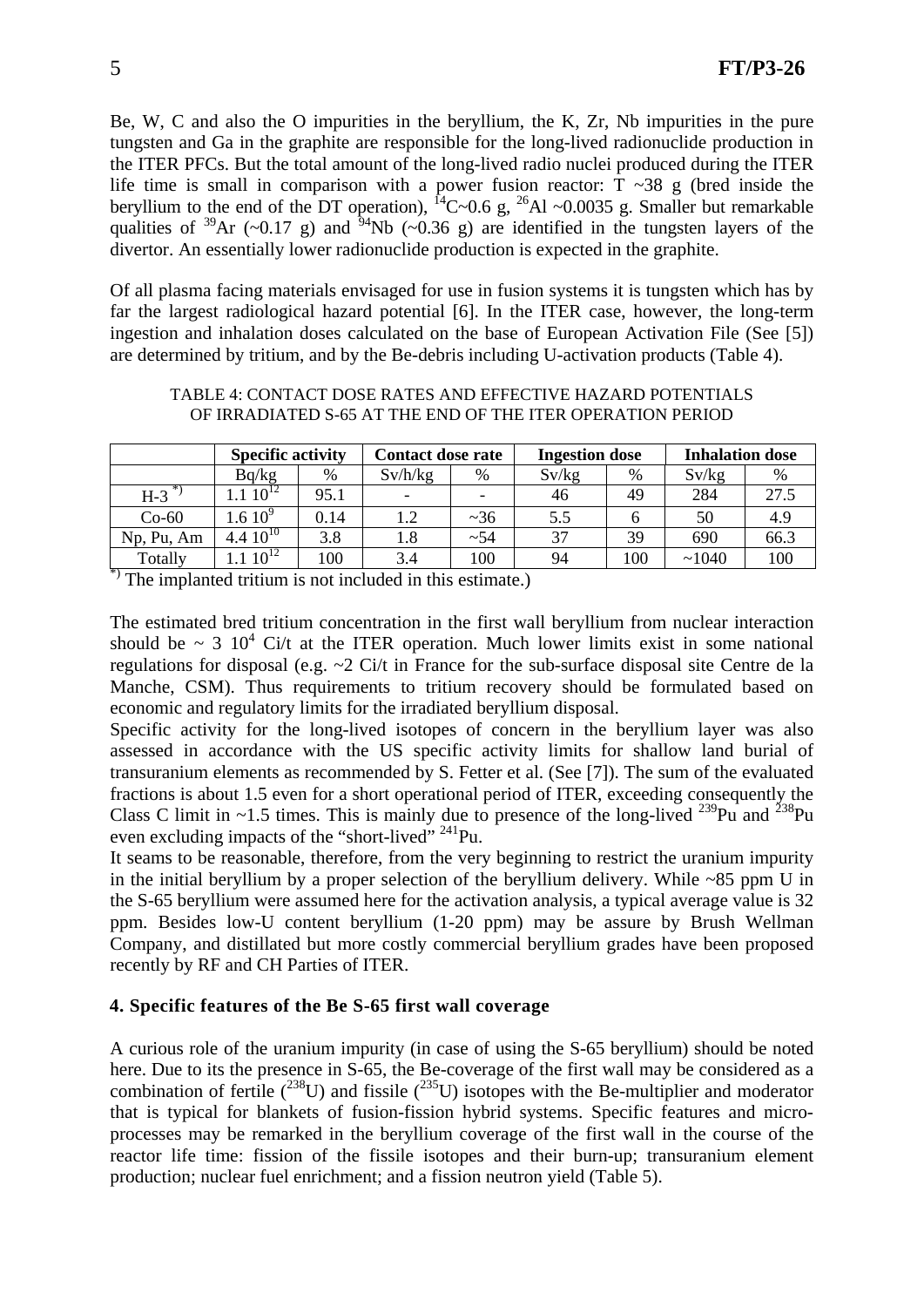Be, W, C and also the O impurities in the beryllium, the K, Zr, Nb impurities in the pure tungsten and Ga in the graphite are responsible for the long-lived radionuclide production in the ITER PFCs. But the total amount of the long-lived radio nuclei produced during the ITER life time is small in comparison with a power fusion reactor:  $T \sim 38$  g (bred inside the beryllium to the end of the DT operation),  ${}^{14}$ C~0.6 g,  ${}^{26}$ Al ~0.0035 g. Smaller but remarkable qualities of <sup>39</sup>Ar (~0.17 g) and <sup>54</sup>Nb (~0.36 g) are identified in the tungsten layers of the divertor. An essentially lower radionuclide production is expected in the graphite.

Of all plasma facing materials envisaged for use in fusion systems it is tungsten which has by far the largest radiological hazard potential [6]. In the ITER case, however, the long-term ingestion and inhalation doses calculated on the base of European Activation File (See [5]) are determined by tritium, and by the Be-debris including U-activation products (Table 4).

#### TABLE 4: CONTACT DOSE RATES AND EFFECTIVE HAZARD POTENTIALS OF IRRADIATED S-65 AT THE END OF THE ITER OPERATION PERIOD

|            | <b>Specific activity</b>   |      | <b>Contact dose rate</b> |                          | <b>Ingestion dose</b> |     | <b>Inhalation dose</b> |      |
|------------|----------------------------|------|--------------------------|--------------------------|-----------------------|-----|------------------------|------|
|            | Bq/kg                      | %    | Sv/h/kg                  | %                        | Sv/kg                 | %   | Sv/kg                  | %    |
| $H-3$      | $10^{12}$                  | 95.1 | $\overline{\phantom{a}}$ | $\overline{\phantom{0}}$ | 46                    | 49  | 284                    | 27.5 |
| $Co-60$    | $1.6~10^9$                 | 0.14 | 1.2                      | ~236                     | 5.5                   | h   | 50                     | 4.9  |
| Np, Pu, Am | $\overline{4.4}$ $10^{10}$ | 3.8  | 1.8                      | ~54                      | 37                    | 39  | 690                    | 66.3 |
| Totally    | $10^{12}$                  | 100  | 3.4                      | 100                      | 94                    | 100 | ~1040                  | 100  |

\*) The implanted tritium is not included in this estimate.)

The estimated bred tritium concentration in the first wall beryllium from nuclear interaction should be  $\sim 3$  10<sup>4</sup> Ci/t at the ITER operation. Much lower limits exist in some national regulations for disposal (e.g. ~2 Ci/t in France for the sub-surface disposal site Centre de la Manche, CSM). Thus requirements to tritium recovery should be formulated based on economic and regulatory limits for the irradiated beryllium disposal.

Specific activity for the long-lived isotopes of concern in the beryllium layer was also assessed in accordance with the US specific activity limits for shallow land burial of transuranium elements as recommended by S. Fetter et al. (See [7]). The sum of the evaluated fractions is about 1.5 even for a short operational period of ITER, exceeding consequently the Class C limit in  $\sim$ 1.5 times. This is mainly due to presence of the long-lived  $^{239}$ Pu and  $^{238}$ Pu even excluding impacts of the "short-lived" <sup>241</sup>Pu.

It seams to be reasonable, therefore, from the very beginning to restrict the uranium impurity in the initial beryllium by a proper selection of the beryllium delivery. While  $\sim 85$  ppm U in the S-65 beryllium were assumed here for the activation analysis, a typical average value is 32 ppm. Besides low-U content beryllium (1-20 ppm) may be assure by Brush Wellman Company, and distillated but more costly commercial beryllium grades have been proposed recently by RF and CH Parties of ITER.

# **4. Specific features of the Be S-65 first wall coverage**

A curious role of the uranium impurity (in case of using the S-65 beryllium) should be noted here. Due to its the presence in S-65, the Be-coverage of the first wall may be considered as a combination of fertile  $(^{238}U)$  and fissile  $(^{235}U)$  isotopes with the Be-multiplier and moderator that is typical for blankets of fusion-fission hybrid systems. Specific features and microprocesses may be remarked in the beryllium coverage of the first wall in the course of the reactor life time: fission of the fissile isotopes and their burn-up; transuranium element production; nuclear fuel enrichment; and a fission neutron yield (Table 5).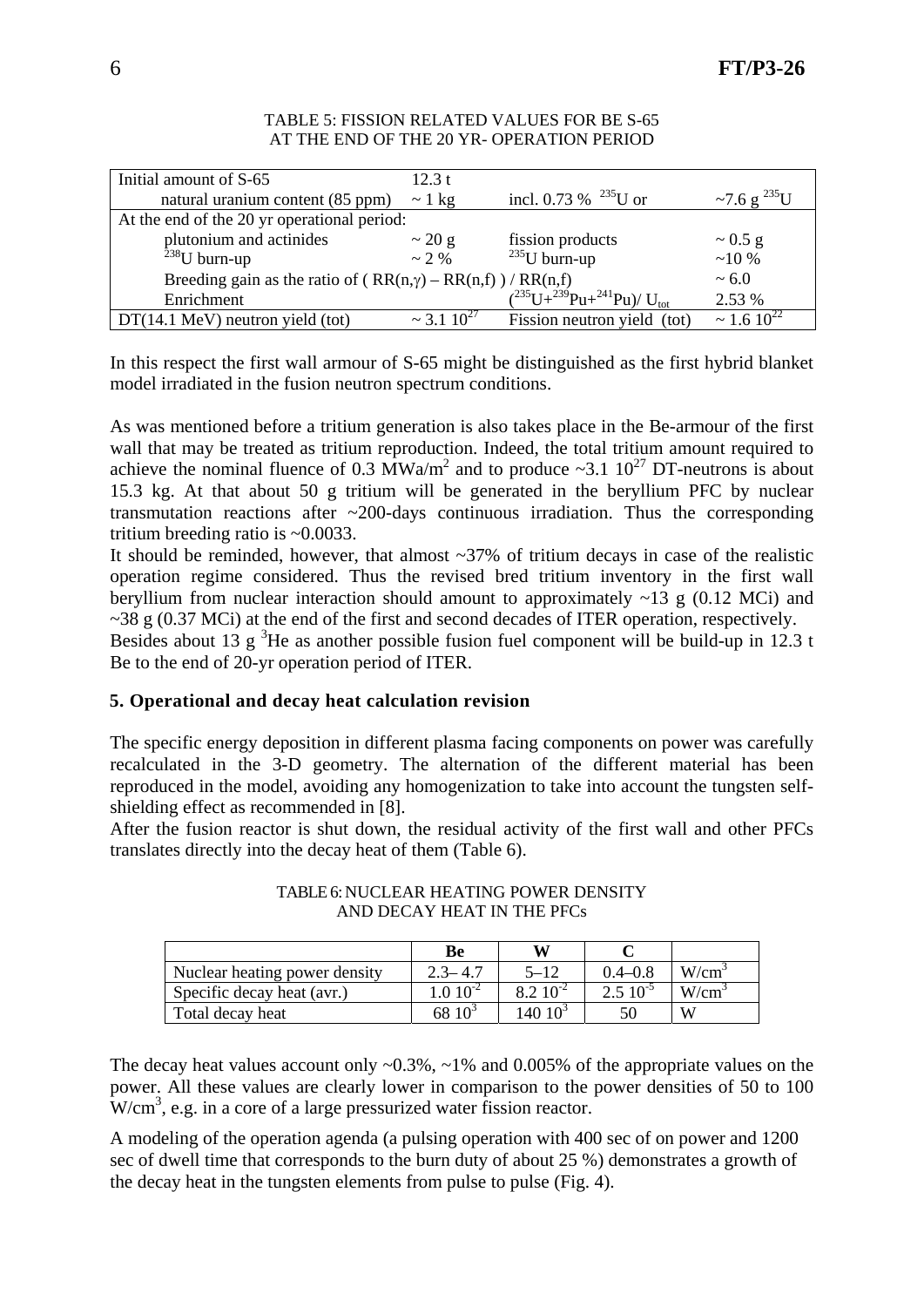| Initial amount of S-65                                             | 12.3 t                         |                                                               |                       |
|--------------------------------------------------------------------|--------------------------------|---------------------------------------------------------------|-----------------------|
| natural uranium content (85 ppm)                                   | $\sim$ 1 kg                    | incl. 0.73 % $^{235}$ U or                                    | ~7.6 g $^{235}$ U     |
| At the end of the 20 yr operational period:                        |                                |                                                               |                       |
| plutonium and actinides                                            | $\sim$ 20 g                    | fission products                                              | $\sim 0.5$ g          |
| $238$ U burn-up                                                    | $\sim$ 2 %                     | $235$ U burn-up                                               | $~10\%$               |
| Breeding gain as the ratio of $(RR(n,\gamma) - RR(n,f)) / RR(n,f)$ |                                |                                                               | $~1$ 6.0              |
| Enrichment                                                         |                                | $\left({}^{235}U+{}^{239}Pu+{}^{241}Pu\right)/U_{\text{tot}}$ | 2.53 %                |
| $DT(14.1 \text{ MeV})$ neutron yield (tot)                         | $\approx$ 3 1 10 <sup>27</sup> | Fission neutron yield (tot)                                   | $\approx 1.6 10^{22}$ |

#### TABLE 5: FISSION RELATED VALUES FOR BE S-65 AT THE END OF THE 20 YR- OPERATION PERIOD

In this respect the first wall armour of S-65 might be distinguished as the first hybrid blanket model irradiated in the fusion neutron spectrum conditions.

As was mentioned before a tritium generation is also takes place in the Be-armour of the first wall that may be treated as tritium reproduction. Indeed, the total tritium amount required to achieve the nominal fluence of 0.3  $\text{MWa/m}^2$  and to produce ~3.1 10<sup>27</sup> DT-neutrons is about 15.3 kg. At that about 50 g tritium will be generated in the beryllium PFC by nuclear transmutation reactions after  $\sim$ 200-days continuous irradiation. Thus the corresponding tritium breeding ratio is ~0.0033.

It should be reminded, however, that almost  $\sim$ 37% of tritium decays in case of the realistic operation regime considered. Thus the revised bred tritium inventory in the first wall beryllium from nuclear interaction should amount to approximately  $\sim$ 13 g (0.12 MCi) and  $\sim$ 38 g (0.37 MCi) at the end of the first and second decades of ITER operation, respectively.

Besides about 13 g  ${}^{3}$ He as another possible fusion fuel component will be build-up in 12.3 t Be to the end of 20-yr operation period of ITER.

# **5. Operational and decay heat calculation revision**

The specific energy deposition in different plasma facing components on power was carefully recalculated in the 3-D geometry. The alternation of the different material has been reproduced in the model, avoiding any homogenization to take into account the tungsten selfshielding effect as recommended in [8].

After the fusion reactor is shut down, the residual activity of the first wall and other PFCs translates directly into the decay heat of them (Table 6).

|                               | Be           | w             |                |                   |
|-------------------------------|--------------|---------------|----------------|-------------------|
| Nuclear heating power density | $2.3 - 4.7$  | $5 - 12$      | $0.4 - 0.8$    | W/cm <sup>3</sup> |
| Specific decay heat (avr.)    | $1.010^{-2}$ | $8.2~10^{-2}$ | $2.5\ 10^{-5}$ | $W/cm^3$          |
| Total decay heat              | $6810^3$     | $14010^3$     | 50             | W                 |

### TABLE 6: NUCLEAR HEATING POWER DENSITY AND DECAY HEAT IN THE PFCs

The decay heat values account only  $\sim 0.3\%$ ,  $\sim 1\%$  and 0.005% of the appropriate values on the power. All these values are clearly lower in comparison to the power densities of 50 to 100  $W/cm<sup>3</sup>$ , e.g. in a core of a large pressurized water fission reactor.

A modeling of the operation agenda (a pulsing operation with 400 sec of on power and 1200 sec of dwell time that corresponds to the burn duty of about 25 %) demonstrates a growth of the decay heat in the tungsten elements from pulse to pulse (Fig. 4).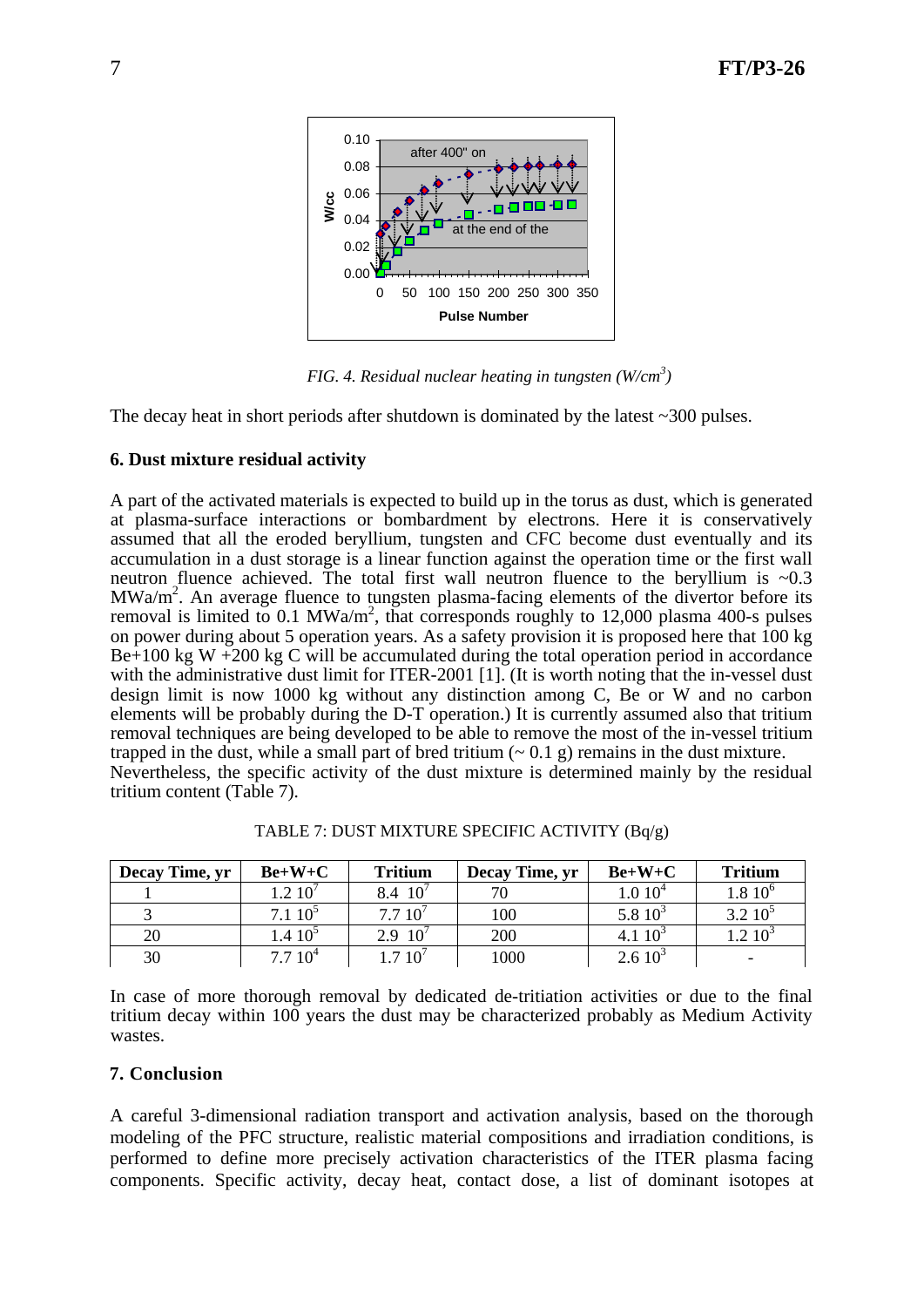

*FIG. 4. Residual nuclear heating in tungsten (W/cm3 )* 

The decay heat in short periods after shutdown is dominated by the latest  $\sim$ 300 pulses.

## **6. Dust mixture residual activity**

A part of the activated materials is expected to build up in the torus as dust, which is generated at plasma-surface interactions or bombardment by electrons. Here it is conservatively assumed that all the eroded beryllium, tungsten and CFC become dust eventually and its accumulation in a dust storage is a linear function against the operation time or the first wall neutron fluence achieved. The total first wall neutron fluence to the beryllium is  $\sim 0.3$  $MWa/m<sup>2</sup>$ . An average fluence to tungsten plasma-facing elements of the divertor before its removal is limited to 0.1 MWa/m<sup>2</sup>, that corresponds roughly to 12,000 plasma 400-s pulses on power during about 5 operation years. As a safety provision it is proposed here that 100 kg  $Be+100$  kg W  $+200$  kg C will be accumulated during the total operation period in accordance with the administrative dust limit for ITER-2001 [1]. (It is worth noting that the in-vessel dust design limit is now 1000 kg without any distinction among C, Be or W and no carbon elements will be probably during the D-T operation.) It is currently assumed also that tritium removal techniques are being developed to be able to remove the most of the in-vessel tritium trapped in the dust, while a small part of bred tritium  $(0.1 \text{ g})$  remains in the dust mixture. Nevertheless, the specific activity of the dust mixture is determined mainly by the residual tritium content (Table 7).

| Decay Time, yr | $Be+W+C$        | <b>Tritium</b> | Decay Time, yr | $Be+W+C$           | <b>Tritium</b> |
|----------------|-----------------|----------------|----------------|--------------------|----------------|
|                | $1.2 \; 10^7$   | 8.4 10         |                | 1.010 <sup>4</sup> | $1.8\;10^6$    |
|                | $7.1~10^5$      | 7.710'         | 100            | 5.8 $10^3$         | $3.210^5$      |
| 20             | $1.4 \; 10^{5}$ | 2.9 $10^7$     | 200            | 4.1 $10^3$         | $1.2 \; 10^3$  |
| 30             | $7.7~10^4$      | .710'          | 1000           | $2.610^3$          |                |

TABLE 7: DUST MIXTURE SPECIFIC ACTIVITY (Bq/g)

In case of more thorough removal by dedicated de-tritiation activities or due to the final tritium decay within 100 years the dust may be characterized probably as Medium Activity wastes.

### **7. Conclusion**

A careful 3-dimensional radiation transport and activation analysis, based on the thorough modeling of the PFC structure, realistic material compositions and irradiation conditions, is performed to define more precisely activation characteristics of the ITER plasma facing components. Specific activity, decay heat, contact dose, a list of dominant isotopes at